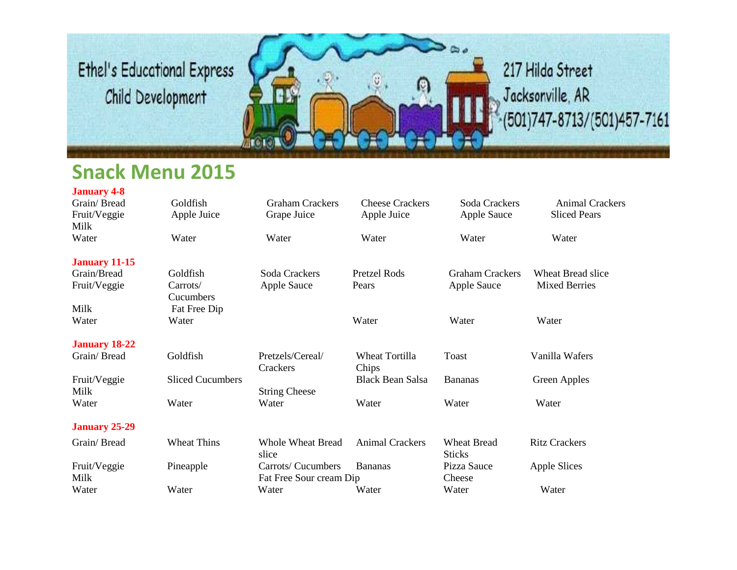

#### **Snack Menu 2015**

| <b>January 4-8</b>   |                         |                                               |                         |                                     |                        |
|----------------------|-------------------------|-----------------------------------------------|-------------------------|-------------------------------------|------------------------|
| Grain/Bread          | Goldfish                | <b>Graham Crackers</b>                        | <b>Cheese Crackers</b>  | Soda Crackers                       | <b>Animal Crackers</b> |
| Fruit/Veggie         | Apple Juice             | Grape Juice                                   | Apple Juice             | <b>Apple Sauce</b>                  | <b>Sliced Pears</b>    |
| Milk                 |                         |                                               |                         |                                     |                        |
| Water                | Water                   | Water                                         | Water                   | Water                               | Water                  |
| <b>January 11-15</b> |                         |                                               |                         |                                     |                        |
| Grain/Bread          | Goldfish                | Soda Crackers                                 | <b>Pretzel Rods</b>     | <b>Graham Crackers</b>              | Wheat Bread slice      |
| Fruit/Veggie         | Carrots/                | <b>Apple Sauce</b>                            | Pears                   | <b>Apple Sauce</b>                  | <b>Mixed Berries</b>   |
|                      | Cucumbers               |                                               |                         |                                     |                        |
| Milk                 | Fat Free Dip            |                                               |                         |                                     |                        |
| Water                | Water                   |                                               | Water                   | Water                               | Water                  |
| <b>January 18-22</b> |                         |                                               |                         |                                     |                        |
| Grain/Bread          | Goldfish                | Pretzels/Cereal/<br>Crackers                  | Wheat Tortilla<br>Chips | Toast                               | Vanilla Wafers         |
| Fruit/Veggie         | <b>Sliced Cucumbers</b> |                                               | <b>Black Bean Salsa</b> | <b>Bananas</b>                      | Green Apples           |
| Milk                 |                         | <b>String Cheese</b>                          |                         |                                     |                        |
| Water                | Water                   | Water                                         | Water                   | Water                               | Water                  |
| <b>January 25-29</b> |                         |                                               |                         |                                     |                        |
| Grain/Bread          | <b>Wheat Thins</b>      | <b>Whole Wheat Bread</b><br>slice             | <b>Animal Crackers</b>  | <b>Wheat Bread</b><br><b>Sticks</b> | <b>Ritz Crackers</b>   |
| Fruit/Veggie<br>Milk | Pineapple               | Carrots/ Cucumbers<br>Fat Free Sour cream Dip | <b>Bananas</b>          | Pizza Sauce<br>Cheese               | Apple Slices           |
| Water                | Water                   | Water                                         | Water                   | Water                               | Water                  |
|                      |                         |                                               |                         |                                     |                        |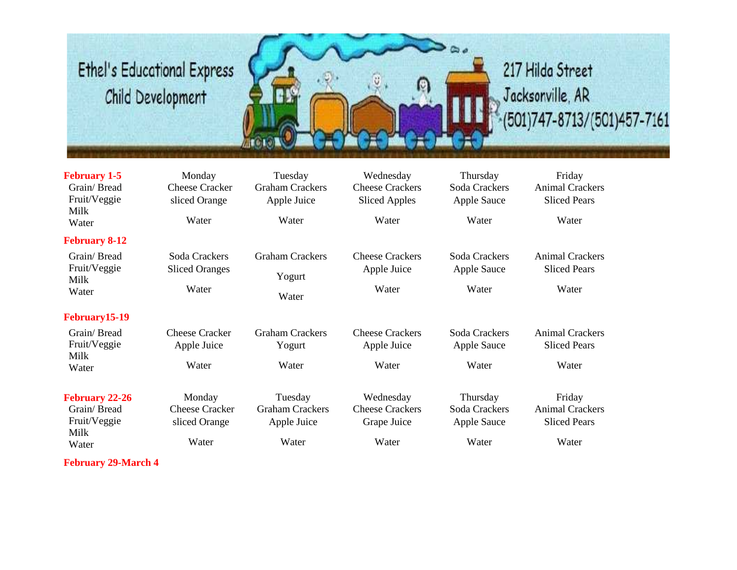

#### 217 Hilda Street Jacksonville, AR  $- (501)747 - 8713 / (501)457 - 7161$

| <b>February 1-5</b><br>Grain/Bread<br>Fruit/Veggie<br>Milk<br>Water   | Monday<br><b>Cheese Cracker</b><br>sliced Orange<br>Water | Tuesday<br><b>Graham Crackers</b><br>Apple Juice<br>Water | Wednesday<br><b>Cheese Crackers</b><br><b>Sliced Apples</b><br>Water | Thursday<br>Soda Crackers<br>Apple Sauce<br>Water | Friday<br><b>Animal Crackers</b><br><b>Sliced Pears</b><br>Water |
|-----------------------------------------------------------------------|-----------------------------------------------------------|-----------------------------------------------------------|----------------------------------------------------------------------|---------------------------------------------------|------------------------------------------------------------------|
| <b>February 8-12</b>                                                  |                                                           |                                                           |                                                                      |                                                   |                                                                  |
| Grain/Bread<br>Fruit/Veggie<br>Milk<br>Water                          | Soda Crackers<br><b>Sliced Oranges</b><br>Water           | <b>Graham Crackers</b><br>Yogurt<br>Water                 | <b>Cheese Crackers</b><br>Apple Juice<br>Water                       | Soda Crackers<br>Apple Sauce<br>Water             | <b>Animal Crackers</b><br><b>Sliced Pears</b><br>Water           |
| February15-19                                                         |                                                           |                                                           |                                                                      |                                                   |                                                                  |
| Grain/Bread<br>Fruit/Veggie<br>Milk                                   | <b>Cheese Cracker</b><br>Apple Juice                      | <b>Graham Crackers</b><br>Yogurt                          | <b>Cheese Crackers</b><br>Apple Juice                                | Soda Crackers<br>Apple Sauce                      | <b>Animal Crackers</b><br><b>Sliced Pears</b>                    |
| Water                                                                 | Water                                                     | Water                                                     | Water                                                                | Water                                             | Water                                                            |
| <b>February 22-26</b><br>Grain/Bread<br>Fruit/Veggie<br>Milk<br>Water | Monday<br><b>Cheese Cracker</b><br>sliced Orange<br>Water | Tuesday<br><b>Graham Crackers</b><br>Apple Juice<br>Water | Wednesday<br><b>Cheese Crackers</b><br>Grape Juice<br>Water          | Thursday<br>Soda Crackers<br>Apple Sauce<br>Water | Friday<br><b>Animal Crackers</b><br><b>Sliced Pears</b><br>Water |
| <b>February 29-March 4</b>                                            |                                                           |                                                           |                                                                      |                                                   |                                                                  |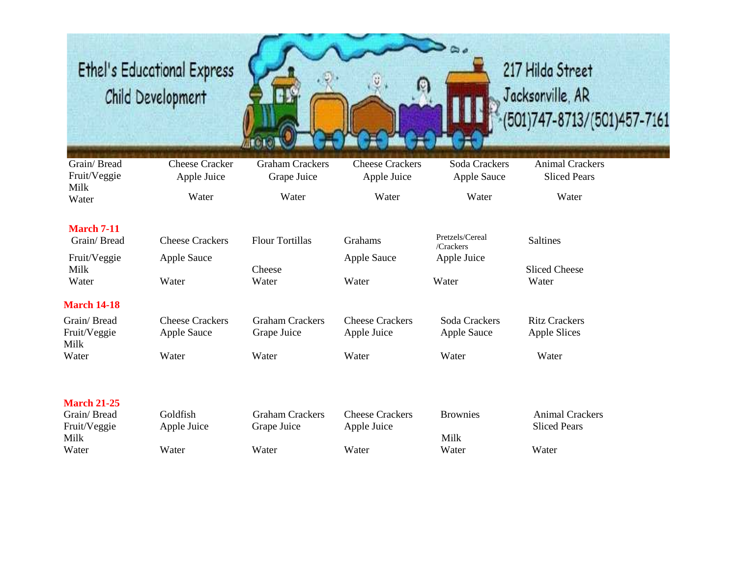

# 217 Hilda Street Jacksonville, AR  $-(501)747 - 8713 / (501)457 - 7161$

| Grain/Bread<br>Fruit/Veggie         | <b>Cheese Cracker</b><br>Apple Juice         | <b>Graham Crackers</b><br>Grape Juice | <b>Cheese Crackers</b><br>Apple Juice | Soda Crackers<br><b>Apple Sauce</b> | <b>Animal Crackers</b><br><b>Sliced Pears</b> |
|-------------------------------------|----------------------------------------------|---------------------------------------|---------------------------------------|-------------------------------------|-----------------------------------------------|
| Milk<br>Water                       | Water                                        | Water                                 | Water                                 | Water                               | Water                                         |
| <b>March 7-11</b><br>Grain/Bread    | <b>Cheese Crackers</b>                       | <b>Flour Tortillas</b>                | Grahams                               | Pretzels/Cereal<br>/Crackers        | <b>Saltines</b>                               |
| Fruit/Veggie<br>Milk<br>Water       | <b>Apple Sauce</b><br>Water                  | Cheese<br>Water                       | Apple Sauce<br>Water                  | Apple Juice<br>Water                | <b>Sliced Cheese</b><br>Water                 |
| <b>March 14-18</b>                  |                                              |                                       |                                       |                                     |                                               |
| Grain/Bread<br>Fruit/Veggie<br>Milk | <b>Cheese Crackers</b><br><b>Apple Sauce</b> | <b>Graham Crackers</b><br>Grape Juice | <b>Cheese Crackers</b><br>Apple Juice | Soda Crackers<br><b>Apple Sauce</b> | <b>Ritz Crackers</b><br><b>Apple Slices</b>   |
| Water                               | Water                                        | Water                                 | Water                                 | Water                               | Water                                         |
| <b>March 21-25</b>                  |                                              |                                       |                                       |                                     |                                               |
| Grain/Bread<br>Fruit/Veggie<br>Milk | Goldfish<br>Apple Juice                      | <b>Graham Crackers</b><br>Grape Juice | <b>Cheese Crackers</b><br>Apple Juice | <b>Brownies</b><br>Milk             | <b>Animal Crackers</b><br><b>Sliced Pears</b> |
| Water                               | Water                                        | Water                                 | Water                                 | Water                               | Water                                         |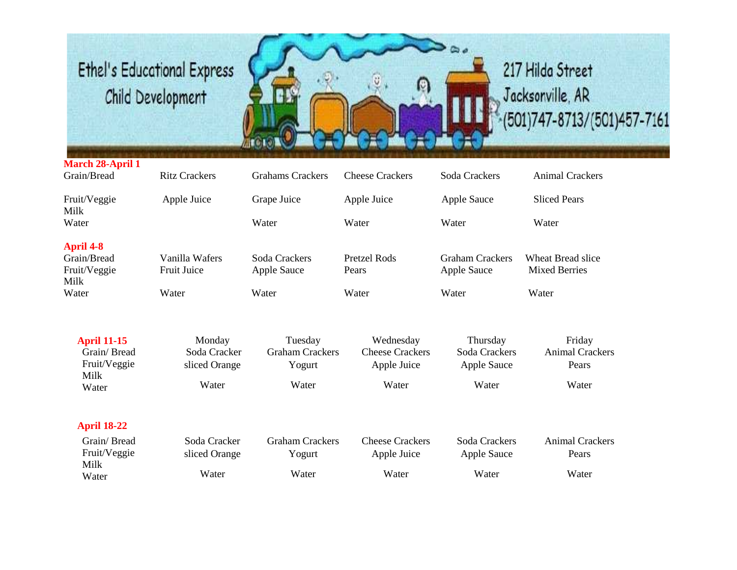

#### 217 Hilda Street Jacksonville, AR (501)747-8713/(501)457-7161

#### **March 28-April 1**<br>Grain/Bread Ritz Crackers Grahams Crackers Cheese Crackers Soda Crackers Animal Crackers Fruit/Veggie Apple Juice Grape Juice Apple Juice Apple Sauce Sliced Pears Milk Water Water Water Water Water **April 4-8** Grain/Bread Vanilla Wafers Soda Crackers Pretzel Rods Graham Crackers Wheat Bread slice Fruit/Veggie Fruit Juice Apple Sauce Pears Apple Sauce Mixed Berries Milk<br>Water Water Water Water Water Water Water

| <b>April 11-15</b> | Monday        | Tuesday                | Wednesday              | Thursday           | Friday          |
|--------------------|---------------|------------------------|------------------------|--------------------|-----------------|
| Grain/Bread        | Soda Cracker  | <b>Graham Crackers</b> | <b>Cheese Crackers</b> | Soda Crackers      | Animal Crackers |
| Fruit/Veggie       | sliced Orange | Yogurt                 | Apple Juice            | <b>Apple Sauce</b> | Pears           |
| Milk<br>Water      | Water         | Water                  | Water                  | Water              | Water           |
| <b>April 18-22</b> |               |                        |                        |                    |                 |
| Grain/Bread        | Soda Cracker  | <b>Graham Crackers</b> | <b>Cheese Crackers</b> | Soda Crackers      | Animal Crackers |
| Fruit/Veggie       | sliced Orange | Yogurt                 | Apple Juice            | Apple Sauce        | Pears           |

| Grain/ Bread  | Soda Cracker  | Graham Crackers | Cheese Crackers | Soda Crackers | Animal Cra |
|---------------|---------------|-----------------|-----------------|---------------|------------|
| Fruit/Veggie  | sliced Orange | Y ogurt         | Apple Juice     | Apple Sauce   | Pears      |
| Milk<br>Water | Water         | Water           | Water           | Water         | Water      |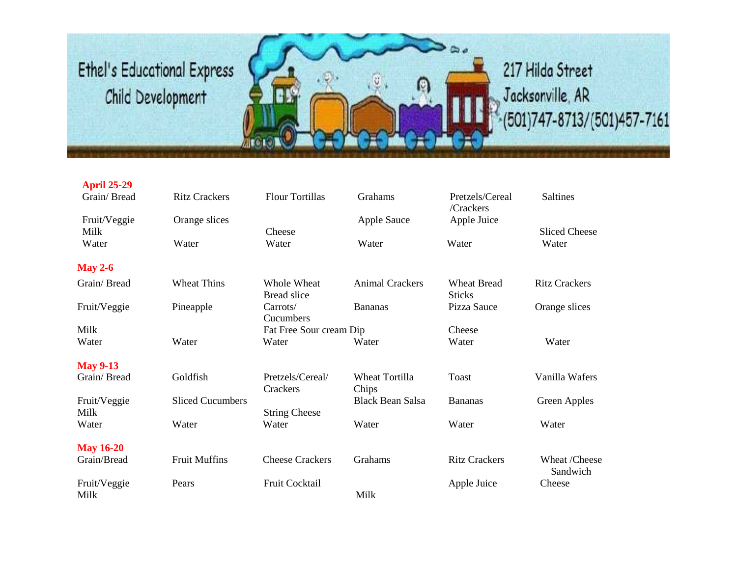

| <b>April 25-29</b><br>Grain/Bread | <b>Ritz Crackers</b>    | <b>Flour Tortillas</b>            | <b>Grahams</b>          | Pretzels/Cereal                     | <b>Saltines</b>           |
|-----------------------------------|-------------------------|-----------------------------------|-------------------------|-------------------------------------|---------------------------|
| Fruit/Veggie<br>Milk              | Orange slices           | Cheese                            | <b>Apple Sauce</b>      | /Crackers<br>Apple Juice            | <b>Sliced Cheese</b>      |
| Water                             | Water                   | Water                             | Water                   | Water                               | Water                     |
| <b>May 2-6</b>                    |                         |                                   |                         |                                     |                           |
| Grain/Bread                       | <b>Wheat Thins</b>      | Whole Wheat<br><b>Bread slice</b> | <b>Animal Crackers</b>  | <b>Wheat Bread</b><br><b>Sticks</b> | <b>Ritz Crackers</b>      |
| Fruit/Veggie                      | Pineapple               | Carrots/<br>Cucumbers             | <b>Bananas</b>          | Pizza Sauce                         | Orange slices             |
| Milk                              |                         | Fat Free Sour cream Dip           |                         | Cheese                              |                           |
| Water                             | Water                   | Water                             | Water                   | Water                               | Water                     |
| <b>May 9-13</b>                   |                         |                                   |                         |                                     |                           |
| Grain/Bread                       | Goldfish                | Pretzels/Cereal/<br>Crackers      | Wheat Tortilla<br>Chips | <b>Toast</b>                        | Vanilla Wafers            |
| Fruit/Veggie<br>Milk              | <b>Sliced Cucumbers</b> | <b>String Cheese</b>              | <b>Black Bean Salsa</b> | <b>Bananas</b>                      | Green Apples              |
| Water                             | Water                   | Water                             | Water                   | Water                               | Water                     |
| <b>May 16-20</b>                  |                         |                                   |                         |                                     |                           |
| Grain/Bread                       | <b>Fruit Muffins</b>    | <b>Cheese Crackers</b>            | Grahams                 | <b>Ritz Crackers</b>                | Wheat /Cheese<br>Sandwich |
| Fruit/Veggie<br>Milk              | Pears                   | Fruit Cocktail                    | Milk                    | Apple Juice                         | Cheese                    |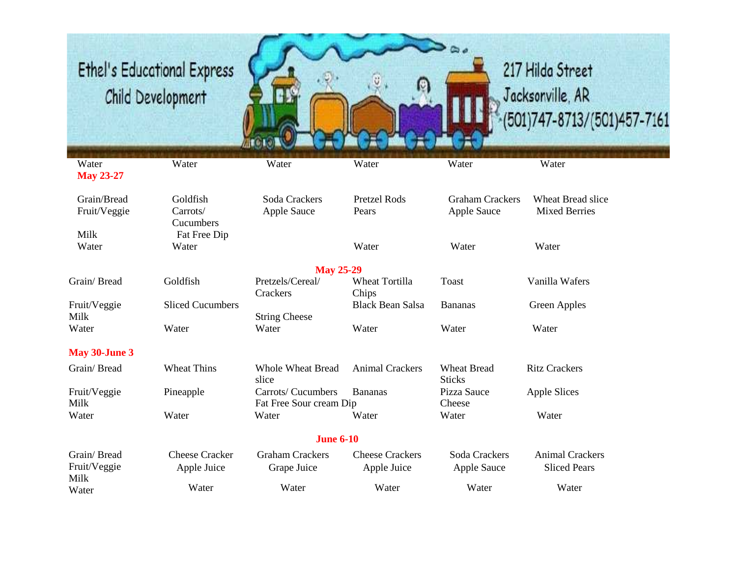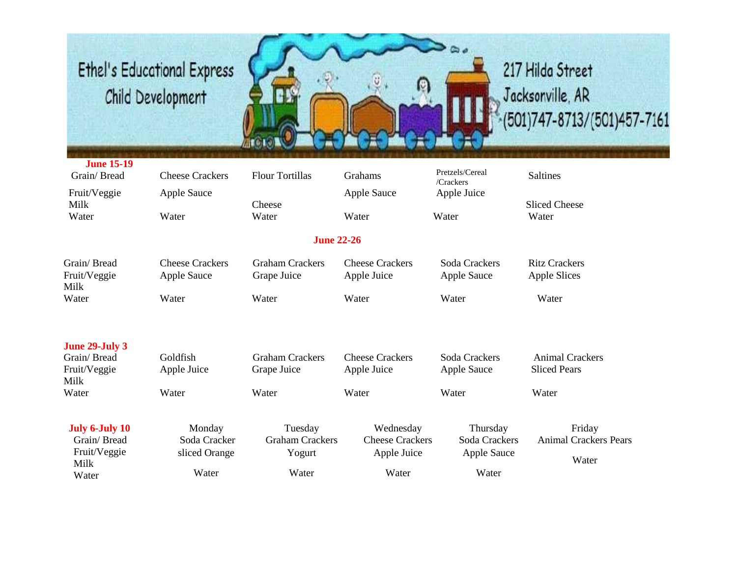

#### 217 Hilda Street Jacksonville, AR (501)747-8713/(501)457-7161

| <b>June 15-19</b><br>Grain/Bread                      | <b>Cheese Crackers</b>                  | <b>Flour Tortillas</b>                      | Grahams                                            | Pretzels/Cereal<br>/Crackers             | Saltines                                        |
|-------------------------------------------------------|-----------------------------------------|---------------------------------------------|----------------------------------------------------|------------------------------------------|-------------------------------------------------|
| Fruit/Veggie<br>Milk<br>Water                         | <b>Apple Sauce</b><br>Water             | Cheese<br>Water                             | <b>Apple Sauce</b><br>Water                        | Apple Juice<br>Water                     | <b>Sliced Cheese</b><br>Water                   |
|                                                       |                                         | <b>June 22-26</b>                           |                                                    |                                          |                                                 |
| Grain/Bread<br>Fruit/Veggie<br>Milk                   | <b>Cheese Crackers</b><br>Apple Sauce   | <b>Graham Crackers</b><br>Grape Juice       | <b>Cheese Crackers</b><br>Apple Juice              | Soda Crackers<br><b>Apple Sauce</b>      | <b>Ritz Crackers</b><br><b>Apple Slices</b>     |
| Water                                                 | Water                                   | Water                                       | Water                                              | Water                                    | Water                                           |
| <b>June 29-July 3</b>                                 |                                         |                                             |                                                    |                                          |                                                 |
| Grain/Bread<br>Fruit/Veggie<br>Milk                   | Goldfish<br>Apple Juice                 | <b>Graham Crackers</b><br>Grape Juice       | <b>Cheese Crackers</b><br>Apple Juice              | Soda Crackers<br>Apple Sauce             | <b>Animal Crackers</b><br><b>Sliced Pears</b>   |
| Water                                                 | Water                                   | Water                                       | Water                                              | Water                                    | Water                                           |
| July 6-July 10<br>Grain/Bread<br>Fruit/Veggie<br>Milk | Monday<br>Soda Cracker<br>sliced Orange | Tuesday<br><b>Graham Crackers</b><br>Yogurt | Wednesday<br><b>Cheese Crackers</b><br>Apple Juice | Thursday<br>Soda Crackers<br>Apple Sauce | Friday<br><b>Animal Crackers Pears</b><br>Water |
| Water                                                 | Water                                   | Water                                       | Water                                              | Water                                    |                                                 |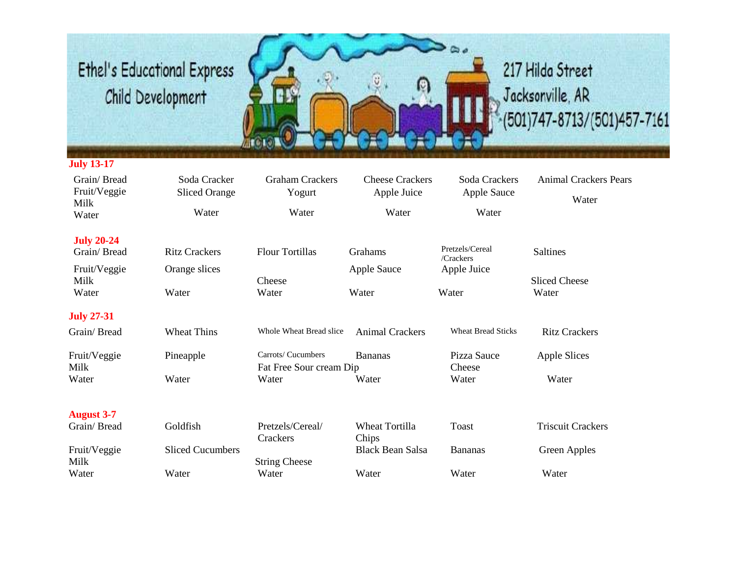

#### **July 13-17**

| Grain/Bread<br>Fruit/Veggie<br>Milk | Soda Cracker<br><b>Sliced Orange</b> | <b>Graham Crackers</b><br>Yogurt | <b>Cheese Crackers</b><br>Apple Juice | Soda Crackers<br><b>Apple Sauce</b> | <b>Animal Crackers Pears</b><br>Water |
|-------------------------------------|--------------------------------------|----------------------------------|---------------------------------------|-------------------------------------|---------------------------------------|
| Water                               | Water                                | Water                            | Water                                 | Water                               |                                       |
| <b>July 20-24</b>                   |                                      |                                  |                                       | Pretzels/Cereal                     |                                       |
| Grain/Bread                         | <b>Ritz Crackers</b>                 | <b>Flour Tortillas</b>           | Grahams                               | /Crackers                           | <b>Saltines</b>                       |
| Fruit/Veggie                        | Orange slices                        |                                  | Apple Sauce                           | Apple Juice                         |                                       |
| Milk                                |                                      | Cheese                           |                                       |                                     | <b>Sliced Cheese</b>                  |
| Water                               | Water                                | Water                            | Water                                 | Water                               | Water                                 |
| <b>July 27-31</b>                   |                                      |                                  |                                       |                                     |                                       |
| Grain/Bread                         | <b>Wheat Thins</b>                   | Whole Wheat Bread slice          | <b>Animal Crackers</b>                | <b>Wheat Bread Sticks</b>           | <b>Ritz Crackers</b>                  |
| Fruit/Veggie                        | Pineapple                            | Carrots/ Cucumbers               | <b>Bananas</b>                        | Pizza Sauce                         | <b>Apple Slices</b>                   |
| Milk                                |                                      | Fat Free Sour cream Dip          |                                       | Cheese                              |                                       |
| Water                               | Water                                | Water                            | Water                                 | Water                               | Water                                 |
|                                     |                                      |                                  |                                       |                                     |                                       |
| <b>August 3-7</b><br>Grain/Bread    | Goldfish                             | Pretzels/Cereal/                 | <b>Wheat Tortilla</b>                 | Toast                               | <b>Triscuit Crackers</b>              |
|                                     |                                      | Crackers                         | Chips                                 |                                     |                                       |
| Fruit/Veggie                        | <b>Sliced Cucumbers</b>              |                                  | <b>Black Bean Salsa</b>               | <b>Bananas</b>                      | <b>Green Apples</b>                   |
| Milk                                |                                      | <b>String Cheese</b>             |                                       |                                     |                                       |
| Water                               | Water                                | Water                            | Water                                 | Water                               | Water                                 |
|                                     |                                      |                                  |                                       |                                     |                                       |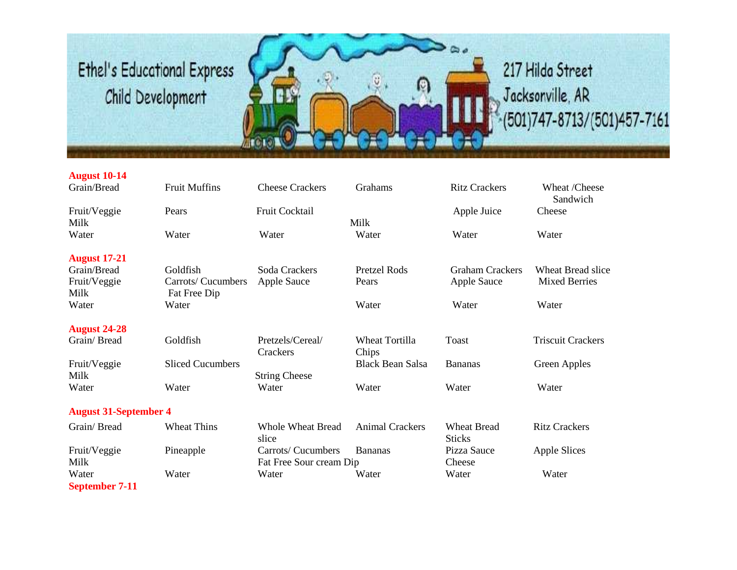

| <b>August 10-14</b><br>Grain/Bread  | <b>Fruit Muffins</b>                           | <b>Cheese Crackers</b>                        | Grahams                        | <b>Ritz Crackers</b>                         | Wheat /Cheese                             |
|-------------------------------------|------------------------------------------------|-----------------------------------------------|--------------------------------|----------------------------------------------|-------------------------------------------|
| Fruit/Veggie<br>Milk                | Pears                                          | <b>Fruit Cocktail</b>                         | Milk                           | Apple Juice                                  | Sandwich<br>Cheese                        |
| Water                               | Water                                          | Water                                         | Water                          | Water                                        | Water                                     |
| <b>August 17-21</b>                 |                                                |                                               |                                |                                              |                                           |
| Grain/Bread<br>Fruit/Veggie<br>Milk | Goldfish<br>Carrots/ Cucumbers<br>Fat Free Dip | Soda Crackers<br><b>Apple Sauce</b>           | <b>Pretzel Rods</b><br>Pears   | <b>Graham Crackers</b><br><b>Apple Sauce</b> | Wheat Bread slice<br><b>Mixed Berries</b> |
| Water                               | Water                                          |                                               | Water                          | Water                                        | Water                                     |
| <b>August 24-28</b>                 |                                                |                                               |                                |                                              |                                           |
| Grain/Bread                         | Goldfish                                       | Pretzels/Cereal/<br>Crackers                  | <b>Wheat Tortilla</b><br>Chips | <b>Toast</b>                                 | <b>Triscuit Crackers</b>                  |
| Fruit/Veggie<br>Milk                | <b>Sliced Cucumbers</b>                        | <b>String Cheese</b>                          | <b>Black Bean Salsa</b>        | <b>Bananas</b>                               | Green Apples                              |
| Water                               | Water                                          | Water                                         | Water                          | Water                                        | Water                                     |
| <b>August 31-September 4</b>        |                                                |                                               |                                |                                              |                                           |
| Grain/Bread                         | <b>Wheat Thins</b>                             | <b>Whole Wheat Bread</b><br>slice             | <b>Animal Crackers</b>         | <b>Wheat Bread</b><br><b>Sticks</b>          | <b>Ritz Crackers</b>                      |
| Fruit/Veggie<br>Milk                | Pineapple                                      | Carrots/ Cucumbers<br>Fat Free Sour cream Dip | <b>Bananas</b>                 | Pizza Sauce<br>Cheese                        | Apple Slices                              |
| Water                               | Water                                          | Water                                         | Water                          | Water                                        | Water                                     |

**September 7-11**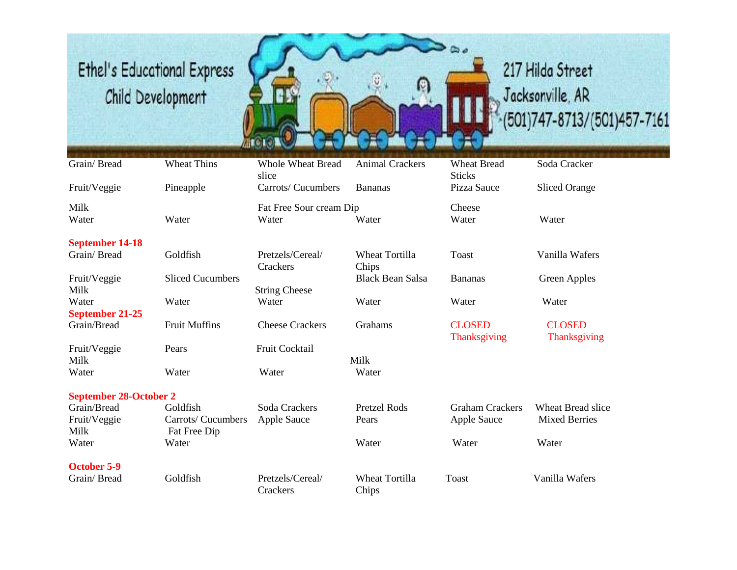

# 217 Hilda Street Jacksonville, AR  $-(501)747 - 8713 / (501)457 - 7161$

| Grain/Bread                   | <b>Wheat Thins</b>      | <b>Whole Wheat Bread</b><br>slice | <b>Animal Crackers</b>         | <b>Wheat Bread</b><br><b>Sticks</b>  | Soda Cracker                  |
|-------------------------------|-------------------------|-----------------------------------|--------------------------------|--------------------------------------|-------------------------------|
| Fruit/Veggie                  | Pineapple               | Carrots/ Cucumbers                | <b>Bananas</b>                 | Pizza Sauce                          | <b>Sliced Orange</b>          |
| Milk                          |                         | Fat Free Sour cream Dip           |                                | Cheese                               |                               |
| Water                         | Water                   | Water                             | Water                          | Water                                | Water                         |
| <b>September 14-18</b>        |                         |                                   |                                |                                      |                               |
| Grain/Bread                   | Goldfish                | Pretzels/Cereal/<br>Crackers      | <b>Wheat Tortilla</b><br>Chips | Toast                                | Vanilla Wafers                |
| Fruit/Veggie                  | <b>Sliced Cucumbers</b> |                                   | <b>Black Bean Salsa</b>        | <b>Bananas</b>                       | Green Apples                  |
| Milk                          |                         | <b>String Cheese</b>              |                                |                                      |                               |
| Water                         | Water                   | Water                             | Water                          | Water                                | Water                         |
| September 21-25               |                         |                                   |                                |                                      |                               |
| Grain/Bread                   | <b>Fruit Muffins</b>    | <b>Cheese Crackers</b>            | Grahams                        | <b>CLOSED</b><br><b>Thanksgiving</b> | <b>CLOSED</b><br>Thanksgiving |
| Fruit/Veggie                  | Pears                   | Fruit Cocktail                    |                                |                                      |                               |
| Milk                          |                         |                                   | Milk                           |                                      |                               |
| Water                         | Water                   | Water                             | Water                          |                                      |                               |
| <b>September 28-October 2</b> |                         |                                   |                                |                                      |                               |
| Grain/Bread                   | Goldfish                | Soda Crackers                     | <b>Pretzel Rods</b>            | <b>Graham Crackers</b>               | <b>Wheat Bread slice</b>      |
| Fruit/Veggie                  | Carrots/ Cucumbers      | Apple Sauce                       | Pears                          | Apple Sauce                          | <b>Mixed Berries</b>          |
| Milk                          | Fat Free Dip            |                                   |                                |                                      |                               |
| Water                         | Water                   |                                   | Water                          | Water                                | Water                         |
| <b>October 5-9</b>            |                         |                                   |                                |                                      |                               |
| Grain/Bread                   | Goldfish                | Pretzels/Cereal/<br>Crackers      | <b>Wheat Tortilla</b><br>Chips | <b>Toast</b>                         | Vanilla Wafers                |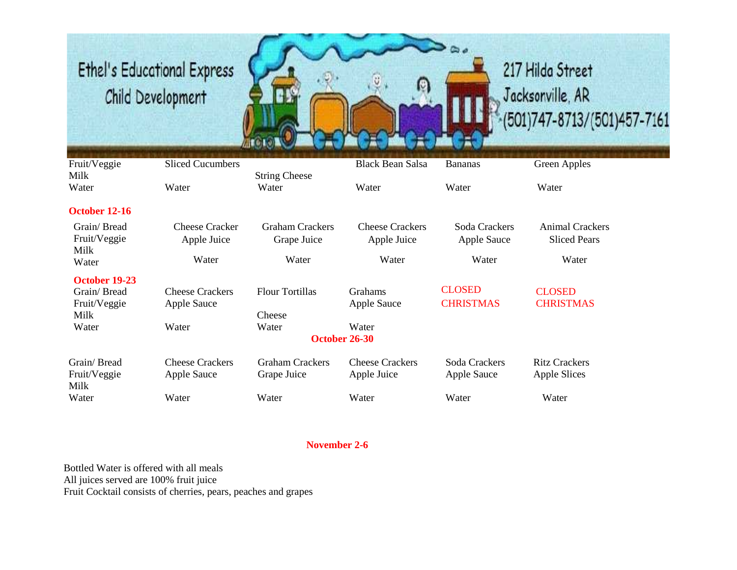

| Fruit/Veggie                | <b>Sliced Cucumbers</b>              |                                       | <b>Black Bean Salsa</b>               | <b>Bananas</b>               | Green Apples                                  |
|-----------------------------|--------------------------------------|---------------------------------------|---------------------------------------|------------------------------|-----------------------------------------------|
| Milk                        |                                      | <b>String Cheese</b>                  |                                       |                              |                                               |
| Water                       | Water                                | Water                                 | Water                                 | Water                        | Water                                         |
| October 12-16               |                                      |                                       |                                       |                              |                                               |
| Grain/Bread<br>Fruit/Veggie | <b>Cheese Cracker</b><br>Apple Juice | <b>Graham Crackers</b><br>Grape Juice | <b>Cheese Crackers</b><br>Apple Juice | Soda Crackers<br>Apple Sauce | <b>Animal Crackers</b><br><b>Sliced Pears</b> |
| Milk<br>Water               | Water                                | Water                                 | Water                                 | Water                        | Water                                         |
| October 19-23               |                                      |                                       |                                       |                              |                                               |
| Grain/Bread                 | <b>Cheese Crackers</b>               | <b>Flour Tortillas</b>                | Grahams                               | <b>CLOSED</b>                | <b>CLOSED</b>                                 |
| Fruit/Veggie                | Apple Sauce                          |                                       | Apple Sauce                           | <b>CHRISTMAS</b>             | <b>CHRISTMAS</b>                              |
| Milk                        |                                      | Cheese                                |                                       |                              |                                               |
| Water                       | Water                                | Water                                 | Water                                 |                              |                                               |
|                             |                                      | October 26-30                         |                                       |                              |                                               |
| Grain/Bread                 | <b>Cheese Crackers</b>               | <b>Graham Crackers</b>                | <b>Cheese Crackers</b>                | Soda Crackers                | <b>Ritz Crackers</b>                          |
| Fruit/Veggie<br>Milk        | Apple Sauce                          | Grape Juice                           | Apple Juice                           | <b>Apple Sauce</b>           | Apple Slices                                  |
| Water                       | Water                                | Water                                 | Water                                 | Water                        | Water                                         |

#### **November 2-6**

Bottled Water is offered with all meals All juices served are 100% fruit juice Fruit Cocktail consists of cherries, pears, peaches and grapes